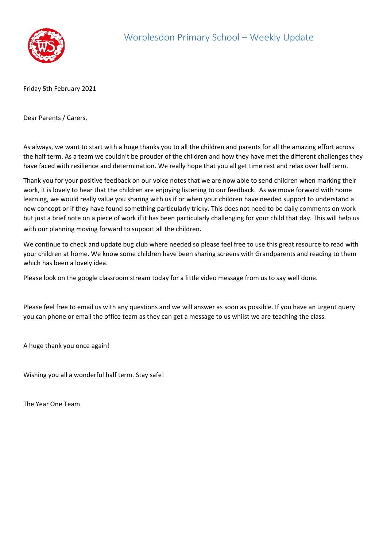

Friday 5th February 2021

Dear Parents / Carers,

As always, we want to start with a huge thanks you to all the children and parents for all the amazing effort across the half term. As a team we couldn't be prouder of the children and how they have met the different challenges they have faced with resilience and determination. We really hope that you all get time rest and relax over half term.

Thank you for your positive feedback on our voice notes that we are now able to send children when marking their work, it is lovely to hear that the children are enjoying listening to our feedback. As we move forward with home learning, we would really value you sharing with us if or when your children have needed support to understand a new concept or if they have found something particularly tricky. This does not need to be daily comments on work but just a brief note on a piece of work if it has been particularly challenging for your child that day. This will help us with our planning moving forward to support all the children.

We continue to check and update bug club where needed so please feel free to use this great resource to read with your children at home. We know some children have been sharing screens with Grandparents and reading to them which has been a lovely idea.

Please look on the google classroom stream today for a little video message from us to say well done.

Please feel free to email us with any questions and we will answer as soon as possible. If you have an urgent query you can phone or email the office team as they can get a message to us whilst we are teaching the class.

A huge thank you once again!

Wishing you all a wonderful half term. Stay safe!

The Year One Team